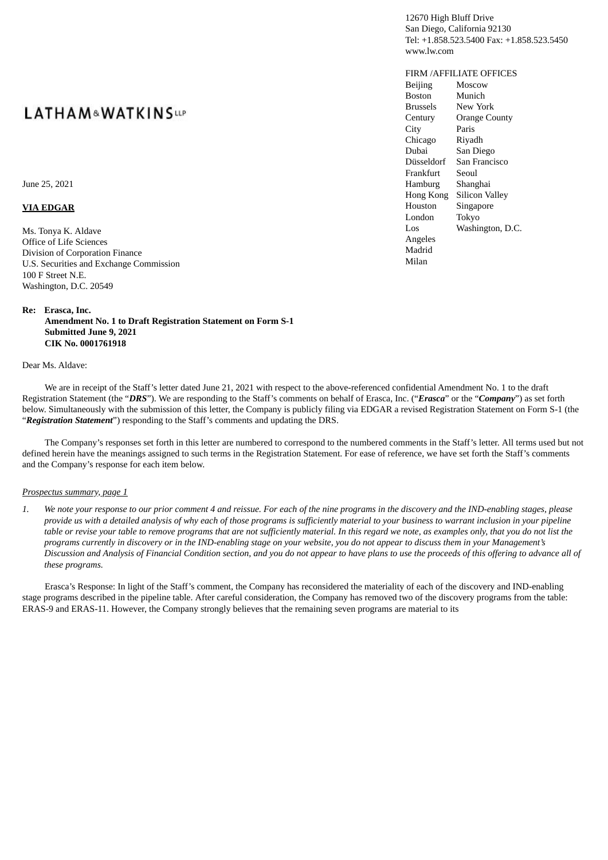June 25, 2021

#### **VIA EDGAR**

Ms. Tonya K. Aldave Office of Life Sciences Division of Corporation Finance U.S. Securities and Exchange Commission 100 F Street N.E. Washington, D.C. 20549

### **Re: Erasca, Inc.**

**Amendment No. 1 to Draft Registration Statement on Form S-1 Submitted June 9, 2021 CIK No. 0001761918**

#### Dear Ms. Aldave:

We are in receipt of the Staff's letter dated June 21, 2021 with respect to the above-referenced confidential Amendment No. 1 to the draft Registration Statement (the "*DRS*"). We are responding to the Staff's comments on behalf of Erasca, Inc. ("*Erasca*" or the "*Company*") as set forth below. Simultaneously with the submission of this letter, the Company is publicly filing via EDGAR a revised Registration Statement on Form S-1 (the "*Registration Statement*") responding to the Staff's comments and updating the DRS.

The Company's responses set forth in this letter are numbered to correspond to the numbered comments in the Staff's letter. All terms used but not defined herein have the meanings assigned to such terms in the Registration Statement. For ease of reference, we have set forth the Staff's comments and the Company's response for each item below.

#### *Prospectus summary, page 1*

1. We note your response to our prior comment 4 and reissue. For each of the nine programs in the discovery and the IND-enabling stages, please provide us with a detailed analysis of why each of those programs is sufficiently material to your business to warrant inclusion in your pipeline table or revise your table to remove programs that are not sufficiently material. In this regard we note, as examples only, that you do not list the programs currently in discovery or in the IND-enabling stage on your website, you do not appear to discuss them in your Management's Discussion and Analysis of Financial Condition section, and you do not appear to have plans to use the proceeds of this offering to advance all of *these programs.*

Erasca's Response: In light of the Staff's comment, the Company has reconsidered the materiality of each of the discovery and IND-enabling stage programs described in the pipeline table. After careful consideration, the Company has removed two of the discovery programs from the table: ERAS-9 and ERAS-11. However, the Company strongly believes that the remaining seven programs are material to its

12670 High Bluff Drive San Diego, California 92130 Tel: +1.858.523.5400 Fax: +1.858.523.5450 www.lw.com

### FIRM /AFFILIATE OFFICES

Beijing **Boston** Brussels Century **City** Chicago Dubai Düsseldorf Frankfurt Hamburg Hong Kong Silicon Valley Houston London Los Angeles Madrid Milan **Moscow** Munich New York Orange County Paris Riyadh San Diego San Francisco Seoul Shanghai Singapore Tokyo Washington, D.C.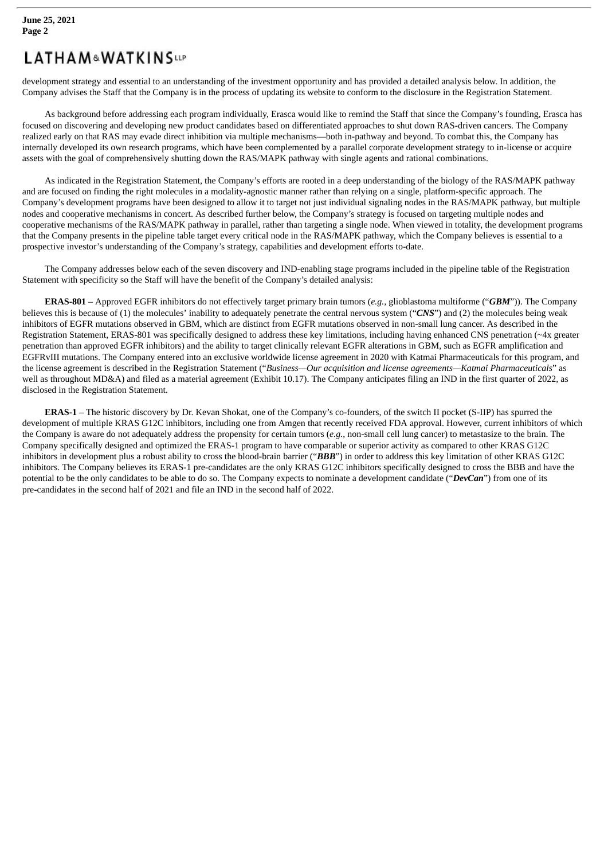development strategy and essential to an understanding of the investment opportunity and has provided a detailed analysis below. In addition, the Company advises the Staff that the Company is in the process of updating its website to conform to the disclosure in the Registration Statement.

As background before addressing each program individually, Erasca would like to remind the Staff that since the Company's founding, Erasca has focused on discovering and developing new product candidates based on differentiated approaches to shut down RAS-driven cancers. The Company realized early on that RAS may evade direct inhibition via multiple mechanisms—both in-pathway and beyond. To combat this, the Company has internally developed its own research programs, which have been complemented by a parallel corporate development strategy to in-license or acquire assets with the goal of comprehensively shutting down the RAS/MAPK pathway with single agents and rational combinations.

As indicated in the Registration Statement, the Company's efforts are rooted in a deep understanding of the biology of the RAS/MAPK pathway and are focused on finding the right molecules in a modality-agnostic manner rather than relying on a single, platform-specific approach. The Company's development programs have been designed to allow it to target not just individual signaling nodes in the RAS/MAPK pathway, but multiple nodes and cooperative mechanisms in concert. As described further below, the Company's strategy is focused on targeting multiple nodes and cooperative mechanisms of the RAS/MAPK pathway in parallel, rather than targeting a single node. When viewed in totality, the development programs that the Company presents in the pipeline table target every critical node in the RAS/MAPK pathway, which the Company believes is essential to a prospective investor's understanding of the Company's strategy, capabilities and development efforts to-date.

The Company addresses below each of the seven discovery and IND-enabling stage programs included in the pipeline table of the Registration Statement with specificity so the Staff will have the benefit of the Company's detailed analysis:

**ERAS-801** – Approved EGFR inhibitors do not effectively target primary brain tumors (*e.g.*, glioblastoma multiforme ("*GBM*")). The Company believes this is because of (1) the molecules' inability to adequately penetrate the central nervous system ("*CNS*") and (2) the molecules being weak inhibitors of EGFR mutations observed in GBM, which are distinct from EGFR mutations observed in non-small lung cancer. As described in the Registration Statement, ERAS-801 was specifically designed to address these key limitations, including having enhanced CNS penetration (~4x greater penetration than approved EGFR inhibitors) and the ability to target clinically relevant EGFR alterations in GBM, such as EGFR amplification and EGFRvIII mutations. The Company entered into an exclusive worldwide license agreement in 2020 with Katmai Pharmaceuticals for this program, and the license agreement is described in the Registration Statement ("*Business—Our acquisition and license agreements—Katmai Pharmaceuticals*" as well as throughout MD&A) and filed as a material agreement (Exhibit 10.17). The Company anticipates filing an IND in the first quarter of 2022, as disclosed in the Registration Statement.

**ERAS-1** – The historic discovery by Dr. Kevan Shokat, one of the Company's co-founders, of the switch II pocket (S-IIP) has spurred the development of multiple KRAS G12C inhibitors, including one from Amgen that recently received FDA approval. However, current inhibitors of which the Company is aware do not adequately address the propensity for certain tumors (*e.g.*, non-small cell lung cancer) to metastasize to the brain. The Company specifically designed and optimized the ERAS-1 program to have comparable or superior activity as compared to other KRAS G12C inhibitors in development plus a robust ability to cross the blood-brain barrier ("*BBB*") in order to address this key limitation of other KRAS G12C inhibitors. The Company believes its ERAS-1 pre-candidates are the only KRAS G12C inhibitors specifically designed to cross the BBB and have the potential to be the only candidates to be able to do so. The Company expects to nominate a development candidate ("*DevCan*") from one of its pre-candidates in the second half of 2021 and file an IND in the second half of 2022.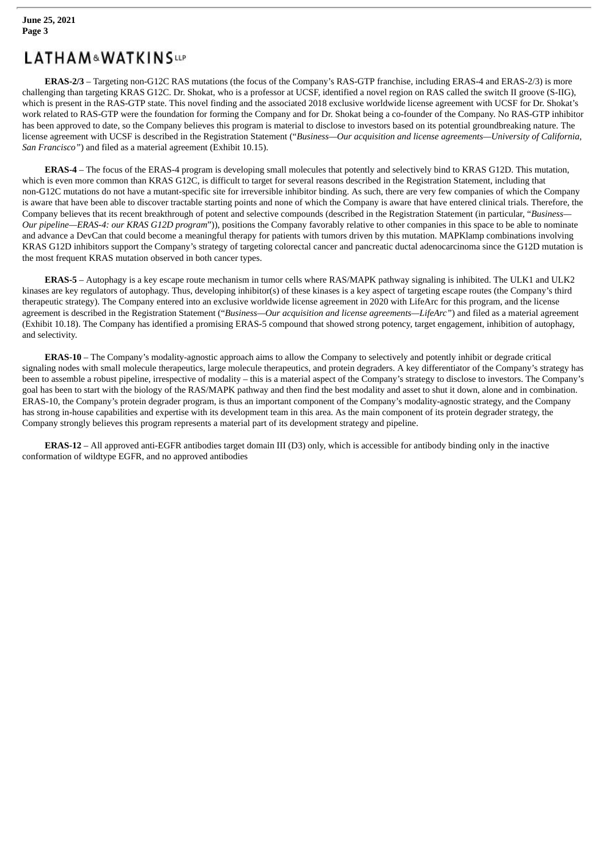**ERAS-2/3** – Targeting non-G12C RAS mutations (the focus of the Company's RAS-GTP franchise, including ERAS-4 and ERAS-2/3) is more challenging than targeting KRAS G12C. Dr. Shokat, who is a professor at UCSF, identified a novel region on RAS called the switch II groove (S-IIG), which is present in the RAS-GTP state. This novel finding and the associated 2018 exclusive worldwide license agreement with UCSF for Dr. Shokat's work related to RAS-GTP were the foundation for forming the Company and for Dr. Shokat being a co-founder of the Company. No RAS-GTP inhibitor has been approved to date, so the Company believes this program is material to disclose to investors based on its potential groundbreaking nature. The license agreement with UCSF is described in the Registration Statement ("*Business—Our acquisition and license agreements—University of California, San Francisco"*) and filed as a material agreement (Exhibit 10.15).

**ERAS-4** – The focus of the ERAS-4 program is developing small molecules that potently and selectively bind to KRAS G12D. This mutation, which is even more common than KRAS G12C, is difficult to target for several reasons described in the Registration Statement, including that non-G12C mutations do not have a mutant-specific site for irreversible inhibitor binding. As such, there are very few companies of which the Company is aware that have been able to discover tractable starting points and none of which the Company is aware that have entered clinical trials. Therefore, the Company believes that its recent breakthrough of potent and selective compounds (described in the Registration Statement (in particular, "*Business— Our pipeline—ERAS-4: our KRAS G12D program*")), positions the Company favorably relative to other companies in this space to be able to nominate and advance a DevCan that could become a meaningful therapy for patients with tumors driven by this mutation. MAPKlamp combinations involving KRAS G12D inhibitors support the Company's strategy of targeting colorectal cancer and pancreatic ductal adenocarcinoma since the G12D mutation is the most frequent KRAS mutation observed in both cancer types.

**ERAS-5** – Autophagy is a key escape route mechanism in tumor cells where RAS/MAPK pathway signaling is inhibited. The ULK1 and ULK2 kinases are key regulators of autophagy. Thus, developing inhibitor(s) of these kinases is a key aspect of targeting escape routes (the Company's third therapeutic strategy). The Company entered into an exclusive worldwide license agreement in 2020 with LifeArc for this program, and the license agreement is described in the Registration Statement ("*Business—Our acquisition and license agreements—LifeArc"*) and filed as a material agreement (Exhibit 10.18). The Company has identified a promising ERAS-5 compound that showed strong potency, target engagement, inhibition of autophagy, and selectivity.

**ERAS-10** – The Company's modality-agnostic approach aims to allow the Company to selectively and potently inhibit or degrade critical signaling nodes with small molecule therapeutics, large molecule therapeutics, and protein degraders. A key differentiator of the Company's strategy has been to assemble a robust pipeline, irrespective of modality – this is a material aspect of the Company's strategy to disclose to investors. The Company's goal has been to start with the biology of the RAS/MAPK pathway and then find the best modality and asset to shut it down, alone and in combination. ERAS-10, the Company's protein degrader program, is thus an important component of the Company's modality-agnostic strategy, and the Company has strong in-house capabilities and expertise with its development team in this area. As the main component of its protein degrader strategy, the Company strongly believes this program represents a material part of its development strategy and pipeline.

**ERAS-12** – All approved anti-EGFR antibodies target domain III (D3) only, which is accessible for antibody binding only in the inactive conformation of wildtype EGFR, and no approved antibodies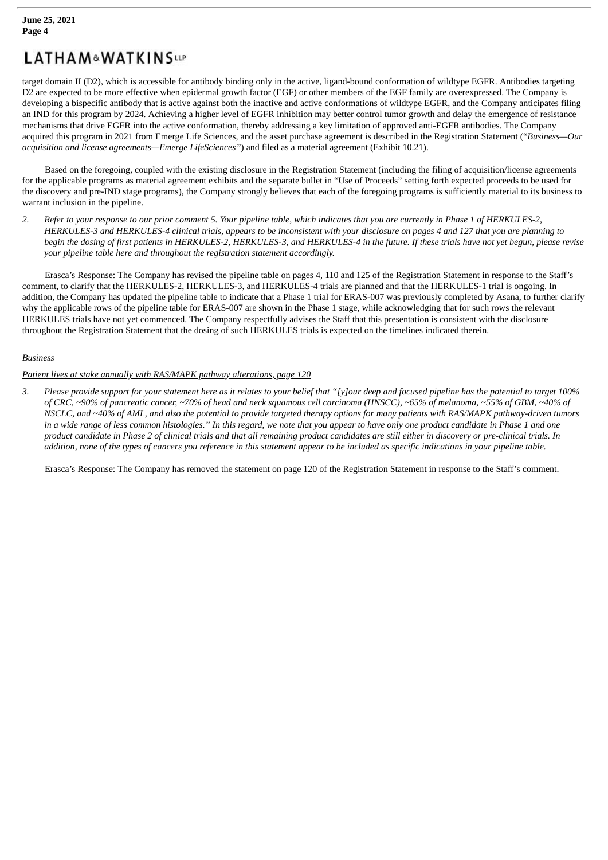target domain II (D2), which is accessible for antibody binding only in the active, ligand-bound conformation of wildtype EGFR. Antibodies targeting D2 are expected to be more effective when epidermal growth factor (EGF) or other members of the EGF family are overexpressed. The Company is developing a bispecific antibody that is active against both the inactive and active conformations of wildtype EGFR, and the Company anticipates filing an IND for this program by 2024. Achieving a higher level of EGFR inhibition may better control tumor growth and delay the emergence of resistance mechanisms that drive EGFR into the active conformation, thereby addressing a key limitation of approved anti-EGFR antibodies. The Company acquired this program in 2021 from Emerge Life Sciences, and the asset purchase agreement is described in the Registration Statement ("*Business—Our acquisition and license agreements—Emerge LifeSciences"*) and filed as a material agreement (Exhibit 10.21).

Based on the foregoing, coupled with the existing disclosure in the Registration Statement (including the filing of acquisition/license agreements for the applicable programs as material agreement exhibits and the separate bullet in "Use of Proceeds" setting forth expected proceeds to be used for the discovery and pre-IND stage programs), the Company strongly believes that each of the foregoing programs is sufficiently material to its business to warrant inclusion in the pipeline.

2. Refer to your response to our prior comment 5. Your pipeline table, which indicates that you are currently in Phase 1 of HERKULES-2, HERKULES-3 and HERKULES-4 clinical trials, appears to be inconsistent with your disclosure on pages 4 and 127 that you are planning to begin the dosing of first patients in HERKULES-2, HERKULES-3, and HERKULES-4 in the future. If these trials have not yet begun, please revise *your pipeline table here and throughout the registration statement accordingly.*

Erasca's Response: The Company has revised the pipeline table on pages 4, 110 and 125 of the Registration Statement in response to the Staff's comment, to clarify that the HERKULES-2, HERKULES-3, and HERKULES-4 trials are planned and that the HERKULES-1 trial is ongoing. In addition, the Company has updated the pipeline table to indicate that a Phase 1 trial for ERAS-007 was previously completed by Asana, to further clarify why the applicable rows of the pipeline table for ERAS-007 are shown in the Phase 1 stage, while acknowledging that for such rows the relevant HERKULES trials have not yet commenced. The Company respectfully advises the Staff that this presentation is consistent with the disclosure throughout the Registration Statement that the dosing of such HERKULES trials is expected on the timelines indicated therein.

## *Business*

## *Patient lives at stake annually with RAS/MAPK pathway alterations, page 120*

3. Please provide support for your statement here as it relates to your belief that "[y]our deep and focused pipeline has the potential to target 100% of CRC, ~90% of pancreatic cancer, ~70% of head and neck squamous cell carcinoma (HNSCC), ~65% of melanoma, ~55% of GBM, ~40% of NSCLC, and ~40% of AML, and also the potential to provide targeted therapy options for many patients with RAS/MAPK pathway-driven tumors in a wide range of less common histologies." In this regard, we note that you appear to have only one product candidate in Phase 1 and one product candidate in Phase 2 of clinical trials and that all remaining product candidates are still either in discovery or pre-clinical trials. In addition, none of the types of cancers you reference in this statement appear to be included as specific indications in your pipeline table.

Erasca's Response: The Company has removed the statement on page 120 of the Registration Statement in response to the Staff's comment.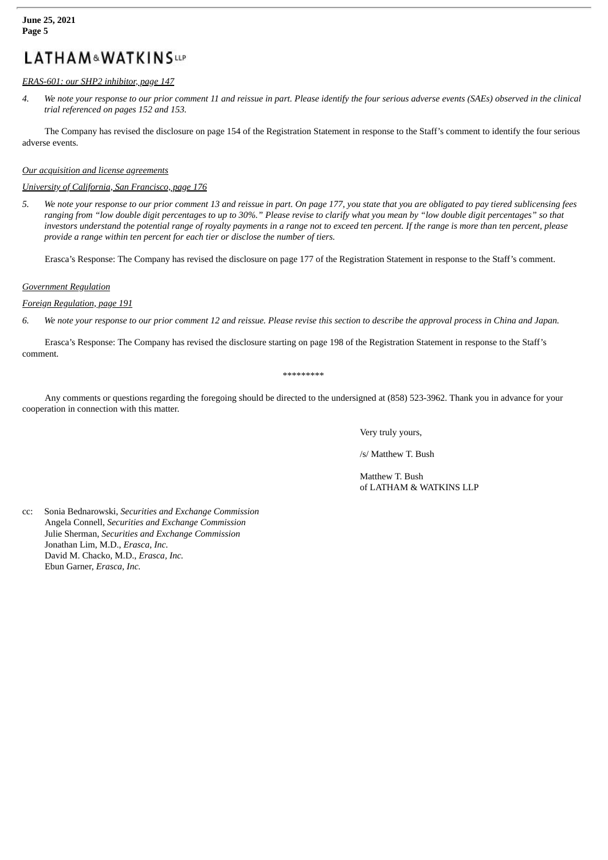#### **June 25, 2021 Page 5**

## **LATHAM&WATKINSLLP**

### *ERAS-601: our SHP2 inhibitor, page 147*

4. We note your response to our prior comment 11 and reissue in part. Please identify the four serious adverse events (SAEs) observed in the clinical *trial referenced on pages 152 and 153.*

The Company has revised the disclosure on page 154 of the Registration Statement in response to the Staff's comment to identify the four serious adverse events.

#### *Our acquisition and license agreements*

### *University of California, San Francisco, page 176*

5. We note your response to our prior comment 13 and reissue in part. On page 177, you state that you are obligated to pay tiered sublicensing fees ranging from "low double digit percentages to up to 30%." Please revise to clarify what you mean by "low double digit percentages" so that investors understand the potential range of royalty payments in a range not to exceed ten percent. If the range is more than ten percent, please *provide a range within ten percent for each tier or disclose the number of tiers.*

Erasca's Response: The Company has revised the disclosure on page 177 of the Registration Statement in response to the Staff's comment.

#### *Government Regulation*

*Foreign Regulation, page 191*

6. We note your response to our prior comment 12 and reissue. Please revise this section to describe the approval process in China and Japan.

Erasca's Response: The Company has revised the disclosure starting on page 198 of the Registration Statement in response to the Staff's comment.

#### \*\*\*\*\*\*\*\*\*

Any comments or questions regarding the foregoing should be directed to the undersigned at (858) 523-3962. Thank you in advance for your cooperation in connection with this matter.

Very truly yours,

/s/ Matthew T. Bush

Matthew T. Bush of LATHAM & WATKINS LLP

cc: Sonia Bednarowski, *Securities and Exchange Commission* Angela Connell, *Securities and Exchange Commission* Julie Sherman, *Securities and Exchange Commission* Jonathan Lim, M.D., *Erasca, Inc.* David M. Chacko, M.D., *Erasca, Inc.* Ebun Garner, *Erasca, Inc.*